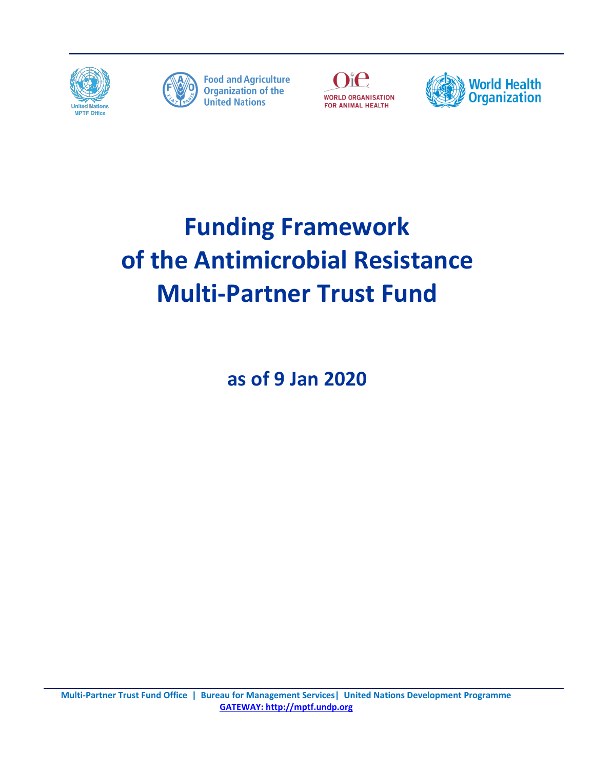



**Food and Agriculture**<br>Organization of the **United Nations** 





# **Funding Framework of the Antimicrobial Resistance Multi-Partner Trust Fund**

**as of 9 Jan 2020**

**Multi-Partner Trust Fund Office | Bureau for Management Services| United Nations Development Programme [GATEWAY: http://mptf.undp.org](http://mptf.undp.org/)**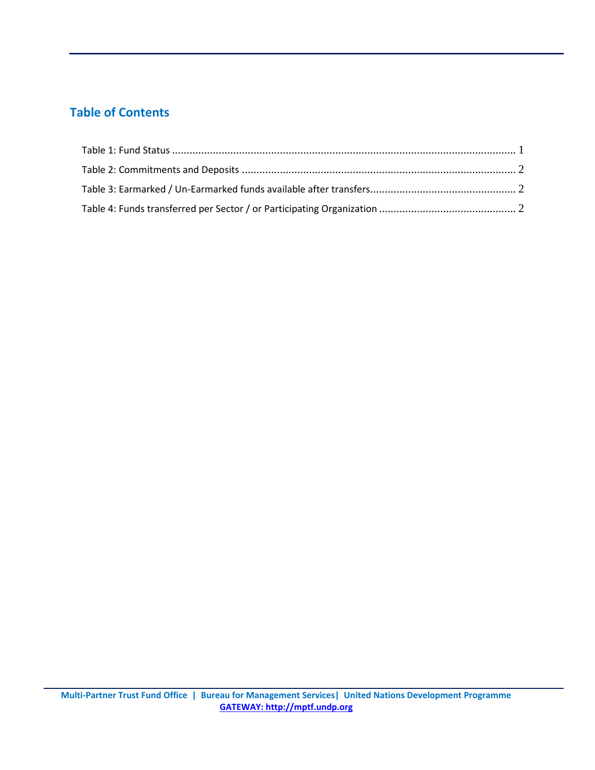## **Table of Contents**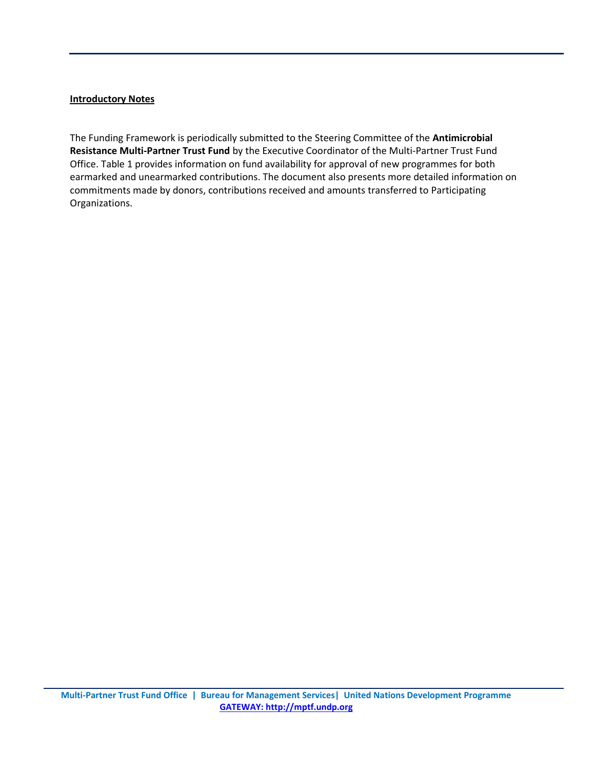#### **Introductory Notes**

The Funding Framework is periodically submitted to the Steering Committee of the **Antimicrobial Resistance Multi-Partner Trust Fund** by the Executive Coordinator of the Multi-Partner Trust Fund Office. Table 1 provides information on fund availability for approval of new programmes for both earmarked and unearmarked contributions. The document also presents more detailed information on commitments made by donors, contributions received and amounts transferred to Participating Organizations.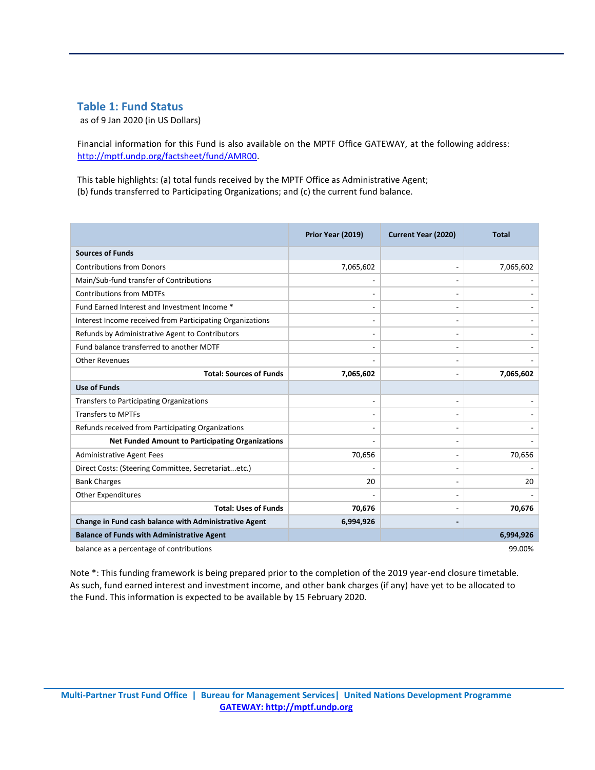#### <span id="page-3-0"></span>**Table 1: Fund Status**

as of 9 Jan 2020 (in US Dollars)

Financial information for this Fund is also available on the MPTF Office GATEWAY, at the following address: [http://mptf.undp.org/factsheet/fund/AMR00.](http://mptf.undp.org/factsheet/fund/AMR00)

This table highlights: (a) total funds received by the MPTF Office as Administrative Agent; (b) funds transferred to Participating Organizations; and (c) the current fund balance.

|                                                           | Prior Year (2019)            | <b>Current Year (2020)</b> | <b>Total</b> |  |  |  |
|-----------------------------------------------------------|------------------------------|----------------------------|--------------|--|--|--|
| <b>Sources of Funds</b>                                   |                              |                            |              |  |  |  |
| <b>Contributions from Donors</b>                          | 7,065,602                    |                            | 7,065,602    |  |  |  |
| Main/Sub-fund transfer of Contributions                   | $\qquad \qquad \blacksquare$ |                            |              |  |  |  |
| <b>Contributions from MDTFs</b>                           | $\qquad \qquad \blacksquare$ |                            |              |  |  |  |
| Fund Earned Interest and Investment Income *              | $\overline{\phantom{a}}$     |                            |              |  |  |  |
| Interest Income received from Participating Organizations | $\overline{\phantom{a}}$     |                            |              |  |  |  |
| Refunds by Administrative Agent to Contributors           | $\overline{\phantom{a}}$     |                            |              |  |  |  |
| Fund balance transferred to another MDTF                  | $\overline{\phantom{a}}$     |                            |              |  |  |  |
| <b>Other Revenues</b>                                     | $\overline{\phantom{a}}$     |                            |              |  |  |  |
| <b>Total: Sources of Funds</b>                            | 7,065,602                    |                            | 7,065,602    |  |  |  |
| <b>Use of Funds</b>                                       |                              |                            |              |  |  |  |
| <b>Transfers to Participating Organizations</b>           | $\overline{\phantom{a}}$     |                            |              |  |  |  |
| <b>Transfers to MPTFs</b>                                 | $\qquad \qquad \blacksquare$ |                            |              |  |  |  |
| Refunds received from Participating Organizations         | $\qquad \qquad \blacksquare$ |                            |              |  |  |  |
| <b>Net Funded Amount to Participating Organizations</b>   |                              |                            |              |  |  |  |
| <b>Administrative Agent Fees</b>                          | 70,656                       |                            | 70,656       |  |  |  |
| Direct Costs: (Steering Committee, Secretariatetc.)       |                              |                            |              |  |  |  |
| <b>Bank Charges</b>                                       | 20                           |                            | 20           |  |  |  |
| <b>Other Expenditures</b>                                 |                              |                            |              |  |  |  |
| <b>Total: Uses of Funds</b>                               | 70,676                       |                            | 70,676       |  |  |  |
| Change in Fund cash balance with Administrative Agent     | 6,994,926                    |                            |              |  |  |  |
| <b>Balance of Funds with Administrative Agent</b>         |                              |                            | 6,994,926    |  |  |  |
| balance as a percentage of contributions<br>99.00%        |                              |                            |              |  |  |  |

Note \*: This funding framework is being prepared prior to the completion of the 2019 year-end closure timetable. As such, fund earned interest and investment income, and other bank charges (if any) have yet to be allocated to the Fund. This information is expected to be available by 15 February 2020.